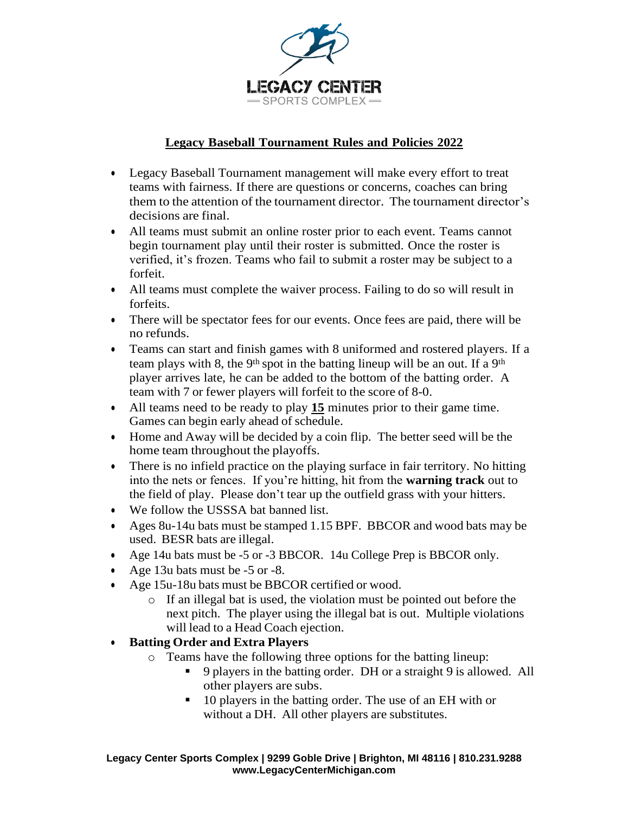

### **Legacy Baseball Tournament Rules and Policies 2022**

- Legacy Baseball Tournament management will make every effort to treat teams with fairness. If there are questions or concerns, coaches can bring them to the attention of the tournament director. The tournament director's decisions are final.
- All teams must submit an online roster prior to each event. Teams cannot begin tournament play until their roster is submitted. Once the roster is verified, it's frozen. Teams who fail to submit a roster may be subject to a forfeit.
- All teams must complete the waiver process. Failing to do so will result in forfeits.
- There will be spectator fees for our events. Once fees are paid, there will be no refunds.
- Teams can start and finish games with 8 uniformed and rostered players. If a team plays with 8, the 9<sup>th</sup> spot in the batting lineup will be an out. If a 9<sup>th</sup> player arrives late, he can be added to the bottom of the batting order. A team with 7 or fewer players will forfeit to the score of 8-0.
- All teams need to be ready to play **15** minutes prior to their game time. Games can begin early ahead of schedule.
- Home and Away will be decided by a coin flip. The better seed will be the home team throughout the playoffs.
- There is no infield practice on the playing surface in fair territory. No hitting into the nets or fences. If you're hitting, hit from the **warning track** out to the field of play. Please don't tear up the outfield grass with your hitters.
- We follow the USSSA bat banned list.
- Ages 8u-14u bats must be stamped 1.15 BPF. BBCOR and wood bats may be used. BESR bats are illegal.
- Age 14u bats must be -5 or -3 BBCOR. 14u College Prep is BBCOR only.
- Age 13u bats must be -5 or -8.
- Age 15u-18u bats must be BBCOR certified or wood.
	- o If an illegal bat is used, the violation must be pointed out before the next pitch. The player using the illegal bat is out. Multiple violations will lead to a Head Coach ejection.

## • **Batting Order and Extra Players**

- o Teams have the following three options for the batting lineup:
	- 9 players in the batting order. DH or a straight 9 is allowed. All other players are subs.
	- 10 players in the batting order. The use of an EH with or without a DH. All other players are substitutes.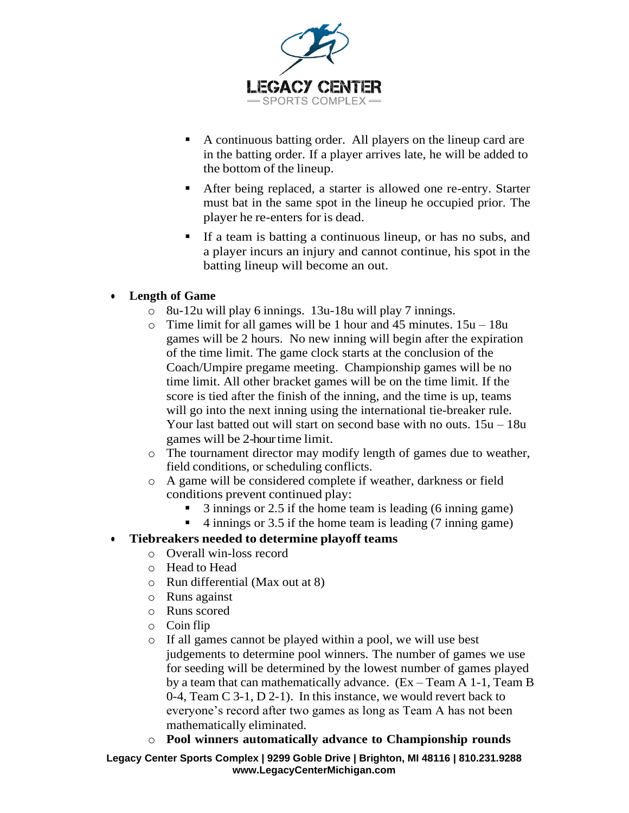

- A continuous batting order. All players on the lineup card are in the batting order. If a player arrives late, he will be added to the bottom of the lineup.
- After being replaced, a starter is allowed one re-entry. Starter must bat in the same spot in the lineup he occupied prior. The player he re-enters for is dead.
- If a team is batting a continuous lineup, or has no subs, and a player incurs an injury and cannot continue, his spot in the batting lineup will become an out.

## • **Length of Game**

- o 8u-12u will play 6 innings. 13u-18u will play 7 innings.
- $\circ$  Time limit for all games will be 1 hour and 45 minutes.  $15u 18u$ games will be 2 hours. No new inning will begin after the expiration of the time limit. The game clock starts at the conclusion of the Coach/Umpire pregame meeting. Championship games will be no time limit. All other bracket games will be on the time limit. If the score is tied after the finish of the inning, and the time is up, teams will go into the next inning using the international tie-breaker rule. Your last batted out will start on second base with no outs. 15u – 18u games will be 2-hour time limit.
- o The tournament director may modify length of games due to weather, field conditions, or scheduling conflicts.
- o A game will be considered complete if weather, darkness or field conditions prevent continued play:
	- 3 innings or 2.5 if the home team is leading (6 inning game)
	- 4 innings or 3.5 if the home team is leading (7 inning game)

# • **Tiebreakers needed to determine playoff teams**

- o Overall win-loss record
- o Head to Head
- o Run differential (Max out at 8)
- o Runs against
- o Runs scored
- o Coin flip
- o If all games cannot be played within a pool, we will use best judgements to determine pool winners. The number of games we use for seeding will be determined by the lowest number of games played by a team that can mathematically advance. (Ex – Team A 1-1, Team B 0-4, Team C 3-1, D 2-1). In this instance, we would revert back to everyone's record after two games as long as Team A has not been mathematically eliminated.
- o **Pool winners automatically advance to Championship rounds**

**Legacy Center Sports Complex | 9299 Goble Drive | Brighton, MI 48116 | 810.231.9288 [www.LegacyCenterMichigan.com](http://www.legacycentermichigan.com/)**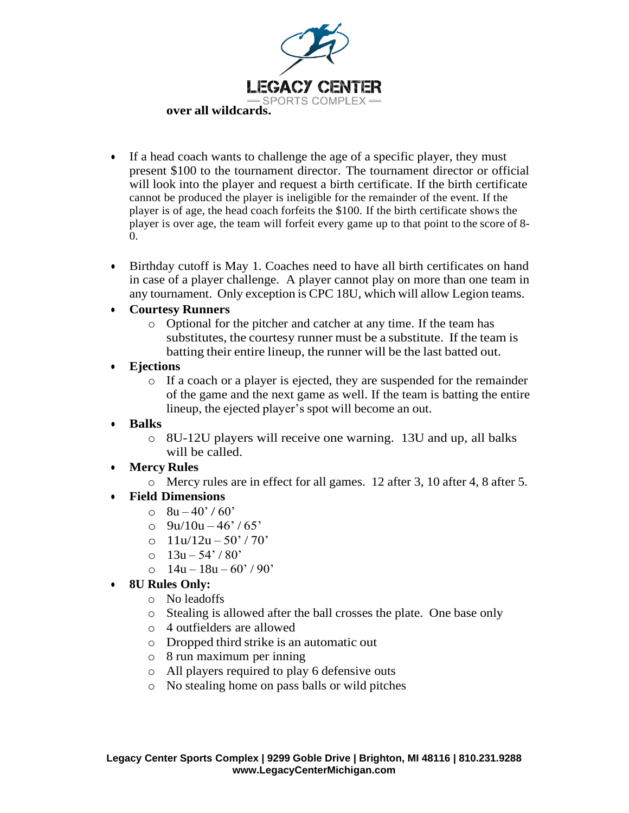

- If a head coach wants to challenge the age of a specific player, they must present \$100 to the tournament director. The tournament director or official will look into the player and request a birth certificate. If the birth certificate cannot be produced the player is ineligible for the remainder of the event. If the player is of age, the head coach forfeits the \$100. If the birth certificate shows the player is over age, the team will forfeit every game up to that point to the score of 8- 0.
- Birthday cutoff is May 1. Coaches need to have all birth certificates on hand in case of a player challenge. A player cannot play on more than one team in any tournament. Only exception is CPC 18U, which will allow Legion teams.

#### • **Courtesy Runners**

o Optional for the pitcher and catcher at any time. If the team has substitutes, the courtesy runner must be a substitute. If the team is batting their entire lineup, the runner will be the last batted out.

#### • **Ejections**

- o If a coach or a player is ejected, they are suspended for the remainder of the game and the next game as well. If the team is batting the entire lineup, the ejected player's spot will become an out.
- **Balks**
	- o 8U-12U players will receive one warning. 13U and up, all balks will be called.

## • **Mercy Rules**

o Mercy rules are in effect for all games. 12 after 3, 10 after 4, 8 after 5.

## • **Field Dimensions**

- $\circ$  8u 40' / 60'
- $Q = 9u/10u 46$ ' / 65'
- o  $11u/12u 50' / 70'$
- o  $13u 54' / 80'$
- o  $14u 18u 60' / 90'$
- **8U Rules Only:**
	- o No leadoffs
	- o Stealing is allowed after the ball crosses the plate. One base only
	- o 4 outfielders are allowed
	- o Dropped third strike is an automatic out
	- o 8 run maximum per inning
	- o All players required to play 6 defensive outs
	- o No stealing home on pass balls or wild pitches